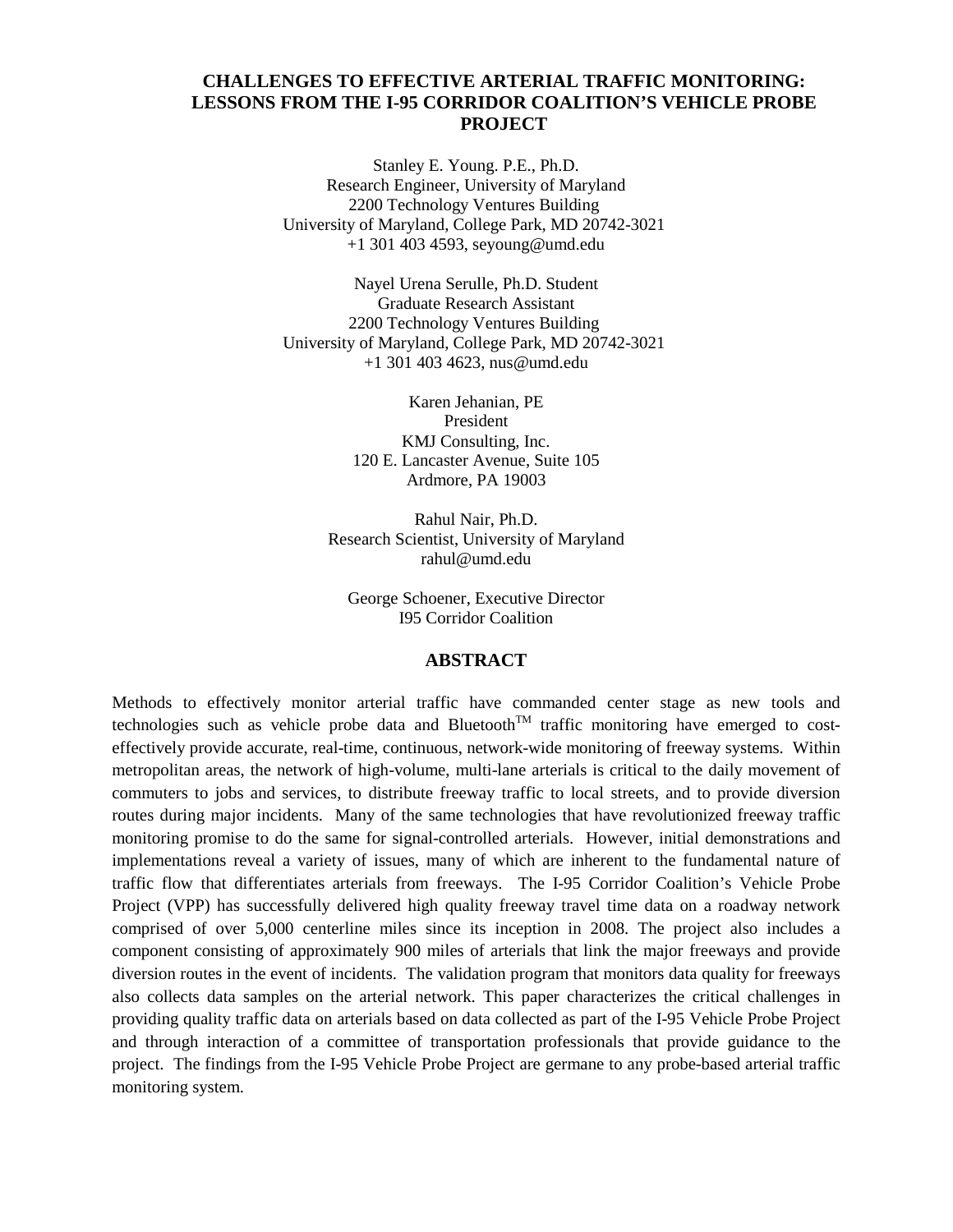# **CHALLENGES TO EFFECTIVE ARTERIAL TRAFFIC MONITORING: LESSONS FROM THE I-95 CORRIDOR COALITION'S VEHICLE PROBE PROJECT**

Stanley E. Young. P.E., Ph.D. Research Engineer, University of Maryland 2200 Technology Ventures Building University of Maryland, College Park, MD 20742-3021 +1 301 403 4593, seyoung@umd.edu

Nayel Urena Serulle, Ph.D. Student Graduate Research Assistant 2200 Technology Ventures Building University of Maryland, College Park, MD 20742-3021 +1 301 403 4623, nus@umd.edu

> Karen Jehanian, PE President KMJ Consulting, Inc. 120 E. Lancaster Avenue, Suite 105 Ardmore, PA 19003

Rahul Nair, Ph.D. Research Scientist, University of Maryland rahul@umd.edu

George Schoener, Executive Director I95 Corridor Coalition

#### **ABSTRACT**

Methods to effectively monitor arterial traffic have commanded center stage as new tools and technologies such as vehicle probe data and Bluetooth<sup>TM</sup> traffic monitoring have emerged to costeffectively provide accurate, real-time, continuous, network-wide monitoring of freeway systems. Within metropolitan areas, the network of high-volume, multi-lane arterials is critical to the daily movement of commuters to jobs and services, to distribute freeway traffic to local streets, and to provide diversion routes during major incidents. Many of the same technologies that have revolutionized freeway traffic monitoring promise to do the same for signal-controlled arterials. However, initial demonstrations and implementations reveal a variety of issues, many of which are inherent to the fundamental nature of traffic flow that differentiates arterials from freeways. The I-95 Corridor Coalition's Vehicle Probe Project (VPP) has successfully delivered high quality freeway travel time data on a roadway network comprised of over 5,000 centerline miles since its inception in 2008. The project also includes a component consisting of approximately 900 miles of arterials that link the major freeways and provide diversion routes in the event of incidents. The validation program that monitors data quality for freeways also collects data samples on the arterial network. This paper characterizes the critical challenges in providing quality traffic data on arterials based on data collected as part of the I-95 Vehicle Probe Project and through interaction of a committee of transportation professionals that provide guidance to the project. The findings from the I-95 Vehicle Probe Project are germane to any probe-based arterial traffic monitoring system.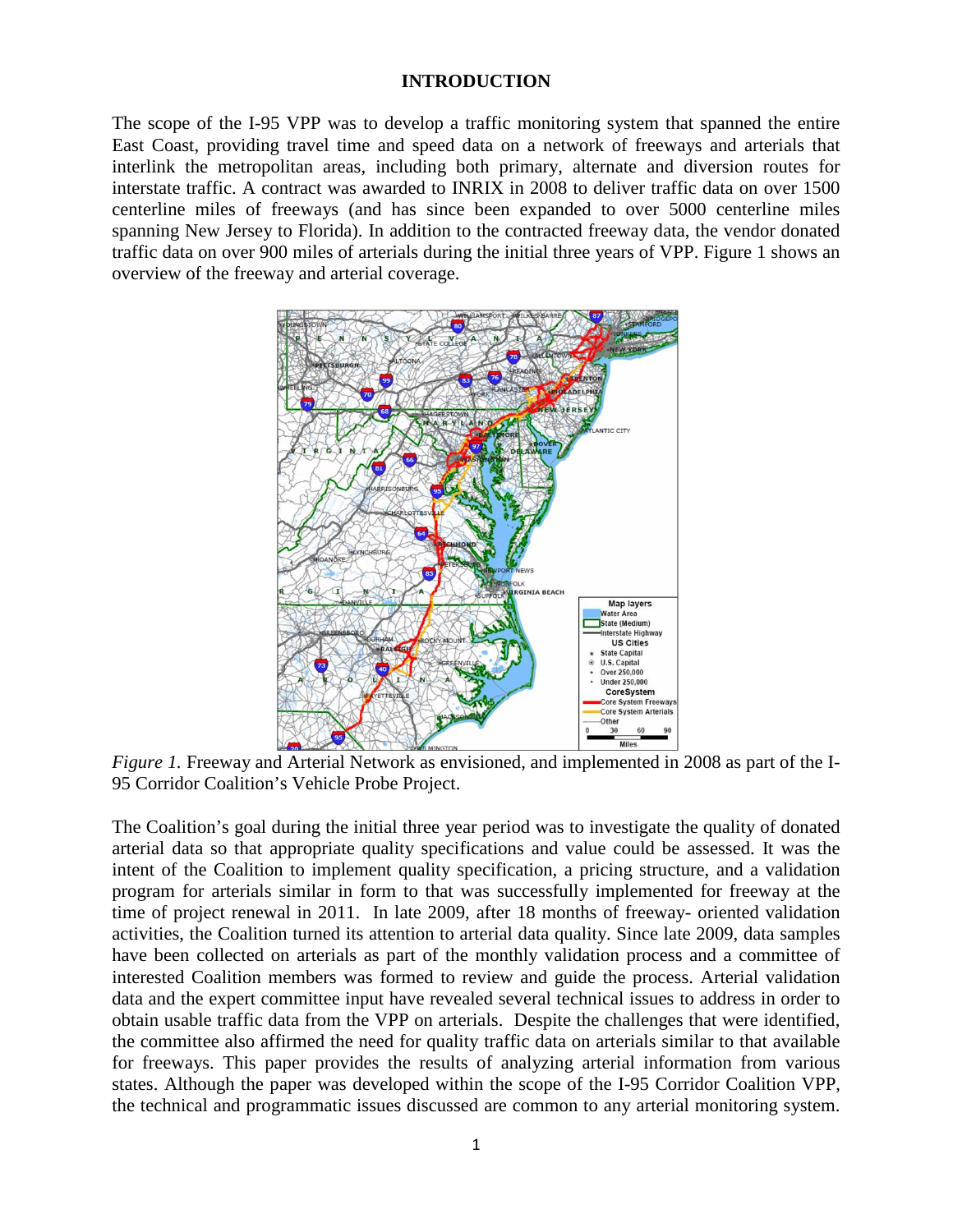### **INTRODUCTION**

The scope of the I-95 VPP was to develop a traffic monitoring system that spanned the entire East Coast, providing travel time and speed data on a network of freeways and arterials that interlink the metropolitan areas, including both primary, alternate and diversion routes for interstate traffic. A contract was awarded to INRIX in 2008 to deliver traffic data on over 1500 centerline miles of freeways (and has since been expanded to over 5000 centerline miles spanning New Jersey to Florida). In addition to the contracted freeway data, the vendor donated traffic data on over 900 miles of arterials during the initial three years of VPP. Figure 1 shows an overview of the freeway and arterial coverage.



*Figure 1.* Freeway and Arterial Network as envisioned, and implemented in 2008 as part of the I-95 Corridor Coalition's Vehicle Probe Project.

The Coalition's goal during the initial three year period was to investigate the quality of donated arterial data so that appropriate quality specifications and value could be assessed. It was the intent of the Coalition to implement quality specification, a pricing structure, and a validation program for arterials similar in form to that was successfully implemented for freeway at the time of project renewal in 2011. In late 2009, after 18 months of freeway- oriented validation activities, the Coalition turned its attention to arterial data quality. Since late 2009, data samples have been collected on arterials as part of the monthly validation process and a committee of interested Coalition members was formed to review and guide the process. Arterial validation data and the expert committee input have revealed several technical issues to address in order to obtain usable traffic data from the VPP on arterials. Despite the challenges that were identified, the committee also affirmed the need for quality traffic data on arterials similar to that available for freeways. This paper provides the results of analyzing arterial information from various states. Although the paper was developed within the scope of the I-95 Corridor Coalition VPP, the technical and programmatic issues discussed are common to any arterial monitoring system.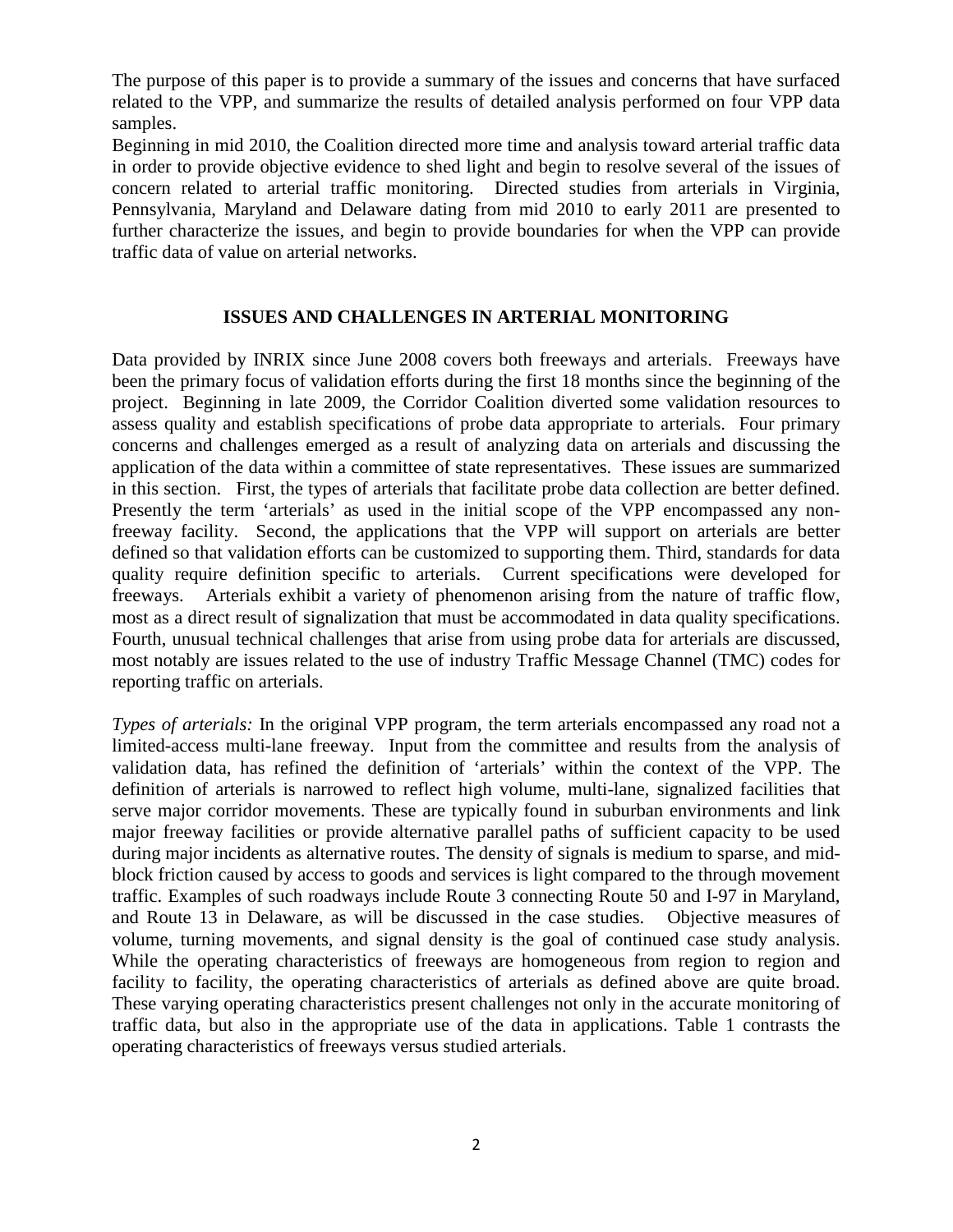The purpose of this paper is to provide a summary of the issues and concerns that have surfaced related to the VPP, and summarize the results of detailed analysis performed on four VPP data samples.

Beginning in mid 2010, the Coalition directed more time and analysis toward arterial traffic data in order to provide objective evidence to shed light and begin to resolve several of the issues of concern related to arterial traffic monitoring. Directed studies from arterials in Virginia, Pennsylvania, Maryland and Delaware dating from mid 2010 to early 2011 are presented to further characterize the issues, and begin to provide boundaries for when the VPP can provide traffic data of value on arterial networks.

### **ISSUES AND CHALLENGES IN ARTERIAL MONITORING**

Data provided by INRIX since June 2008 covers both freeways and arterials. Freeways have been the primary focus of validation efforts during the first 18 months since the beginning of the project. Beginning in late 2009, the Corridor Coalition diverted some validation resources to assess quality and establish specifications of probe data appropriate to arterials. Four primary concerns and challenges emerged as a result of analyzing data on arterials and discussing the application of the data within a committee of state representatives. These issues are summarized in this section. First, the types of arterials that facilitate probe data collection are better defined. Presently the term 'arterials' as used in the initial scope of the VPP encompassed any nonfreeway facility. Second, the applications that the VPP will support on arterials are better defined so that validation efforts can be customized to supporting them. Third, standards for data quality require definition specific to arterials. Current specifications were developed for freeways. Arterials exhibit a variety of phenomenon arising from the nature of traffic flow, most as a direct result of signalization that must be accommodated in data quality specifications. Fourth, unusual technical challenges that arise from using probe data for arterials are discussed, most notably are issues related to the use of industry Traffic Message Channel (TMC) codes for reporting traffic on arterials.

*Types of arterials:* In the original VPP program, the term arterials encompassed any road not a limited-access multi-lane freeway. Input from the committee and results from the analysis of validation data, has refined the definition of 'arterials' within the context of the VPP. The definition of arterials is narrowed to reflect high volume, multi-lane, signalized facilities that serve major corridor movements. These are typically found in suburban environments and link major freeway facilities or provide alternative parallel paths of sufficient capacity to be used during major incidents as alternative routes. The density of signals is medium to sparse, and midblock friction caused by access to goods and services is light compared to the through movement traffic. Examples of such roadways include Route 3 connecting Route 50 and I-97 in Maryland, and Route 13 in Delaware, as will be discussed in the case studies. Objective measures of volume, turning movements, and signal density is the goal of continued case study analysis. While the operating characteristics of freeways are homogeneous from region to region and facility to facility, the operating characteristics of arterials as defined above are quite broad. These varying operating characteristics present challenges not only in the accurate monitoring of traffic data, but also in the appropriate use of the data in applications. Table 1 contrasts the operating characteristics of freeways versus studied arterials.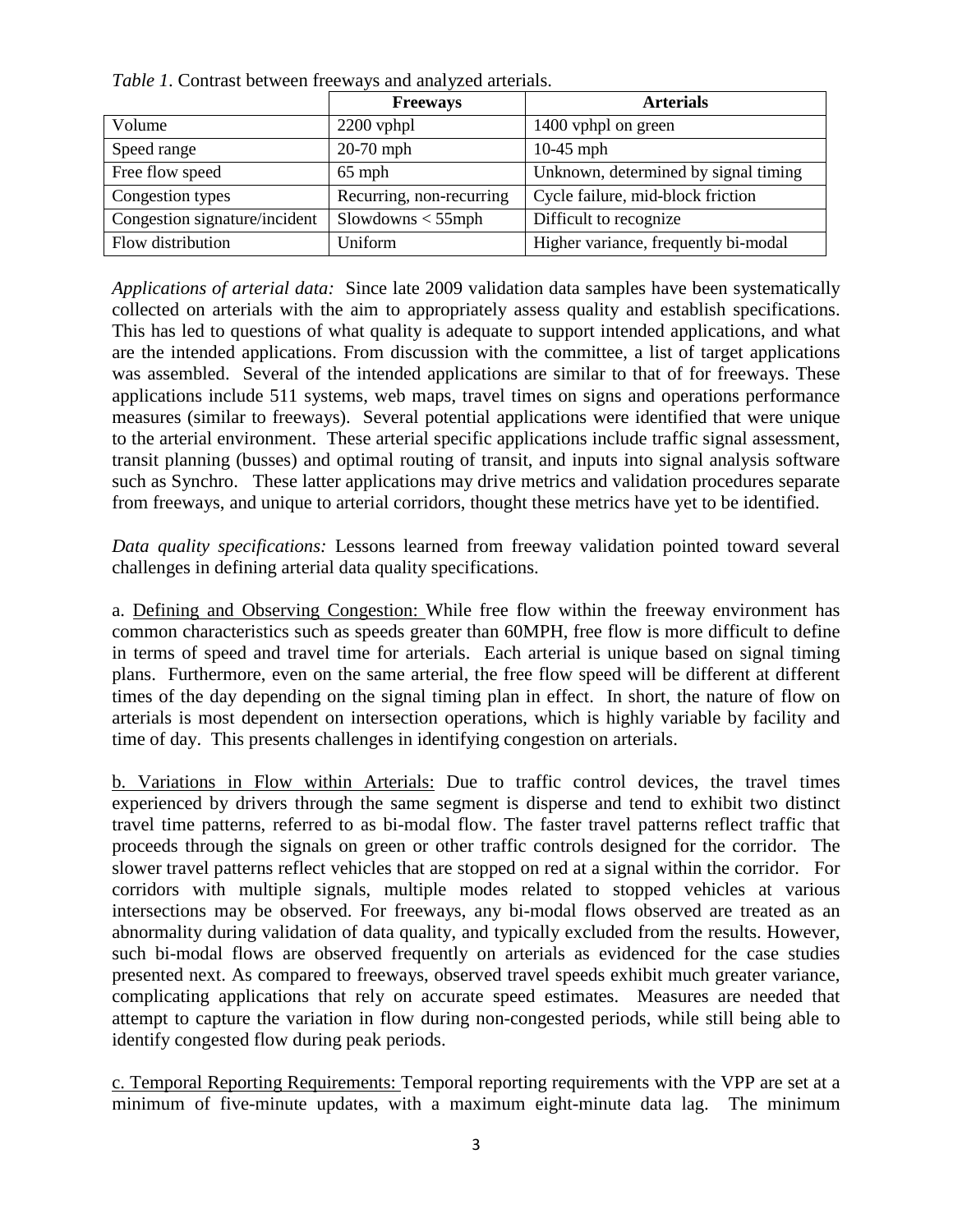|                               | <b>Freeways</b>          | <b>Arterials</b>                     |  |  |  |  |  |  |
|-------------------------------|--------------------------|--------------------------------------|--|--|--|--|--|--|
| Volume                        | $2200$ vphpl             | 1400 vphpl on green                  |  |  |  |  |  |  |
| Speed range                   | $20-70$ mph              | $10-45$ mph                          |  |  |  |  |  |  |
| Free flow speed               | $65$ mph                 | Unknown, determined by signal timing |  |  |  |  |  |  |
| Congestion types              | Recurring, non-recurring | Cycle failure, mid-block friction    |  |  |  |  |  |  |
| Congestion signature/incident | $S$ lowdowns $<$ 55mph   | Difficult to recognize               |  |  |  |  |  |  |
| Flow distribution             | Uniform                  | Higher variance, frequently bi-modal |  |  |  |  |  |  |

*Table 1*. Contrast between freeways and analyzed arterials.

*Applications of arterial data:* Since late 2009 validation data samples have been systematically collected on arterials with the aim to appropriately assess quality and establish specifications. This has led to questions of what quality is adequate to support intended applications, and what are the intended applications. From discussion with the committee, a list of target applications was assembled. Several of the intended applications are similar to that of for freeways. These applications include 511 systems, web maps, travel times on signs and operations performance measures (similar to freeways). Several potential applications were identified that were unique to the arterial environment. These arterial specific applications include traffic signal assessment, transit planning (busses) and optimal routing of transit, and inputs into signal analysis software such as Synchro. These latter applications may drive metrics and validation procedures separate from freeways, and unique to arterial corridors, thought these metrics have yet to be identified.

*Data quality specifications:* Lessons learned from freeway validation pointed toward several challenges in defining arterial data quality specifications.

a. Defining and Observing Congestion: While free flow within the freeway environment has common characteristics such as speeds greater than 60MPH, free flow is more difficult to define in terms of speed and travel time for arterials. Each arterial is unique based on signal timing plans. Furthermore, even on the same arterial, the free flow speed will be different at different times of the day depending on the signal timing plan in effect. In short, the nature of flow on arterials is most dependent on intersection operations, which is highly variable by facility and time of day. This presents challenges in identifying congestion on arterials.

b. Variations in Flow within Arterials: Due to traffic control devices, the travel times experienced by drivers through the same segment is disperse and tend to exhibit two distinct travel time patterns, referred to as bi-modal flow. The faster travel patterns reflect traffic that proceeds through the signals on green or other traffic controls designed for the corridor. The slower travel patterns reflect vehicles that are stopped on red at a signal within the corridor. For corridors with multiple signals, multiple modes related to stopped vehicles at various intersections may be observed. For freeways, any bi-modal flows observed are treated as an abnormality during validation of data quality, and typically excluded from the results. However, such bi-modal flows are observed frequently on arterials as evidenced for the case studies presented next. As compared to freeways, observed travel speeds exhibit much greater variance, complicating applications that rely on accurate speed estimates. Measures are needed that attempt to capture the variation in flow during non-congested periods, while still being able to identify congested flow during peak periods.

c. Temporal Reporting Requirements: Temporal reporting requirements with the VPP are set at a minimum of five-minute updates, with a maximum eight-minute data lag. The minimum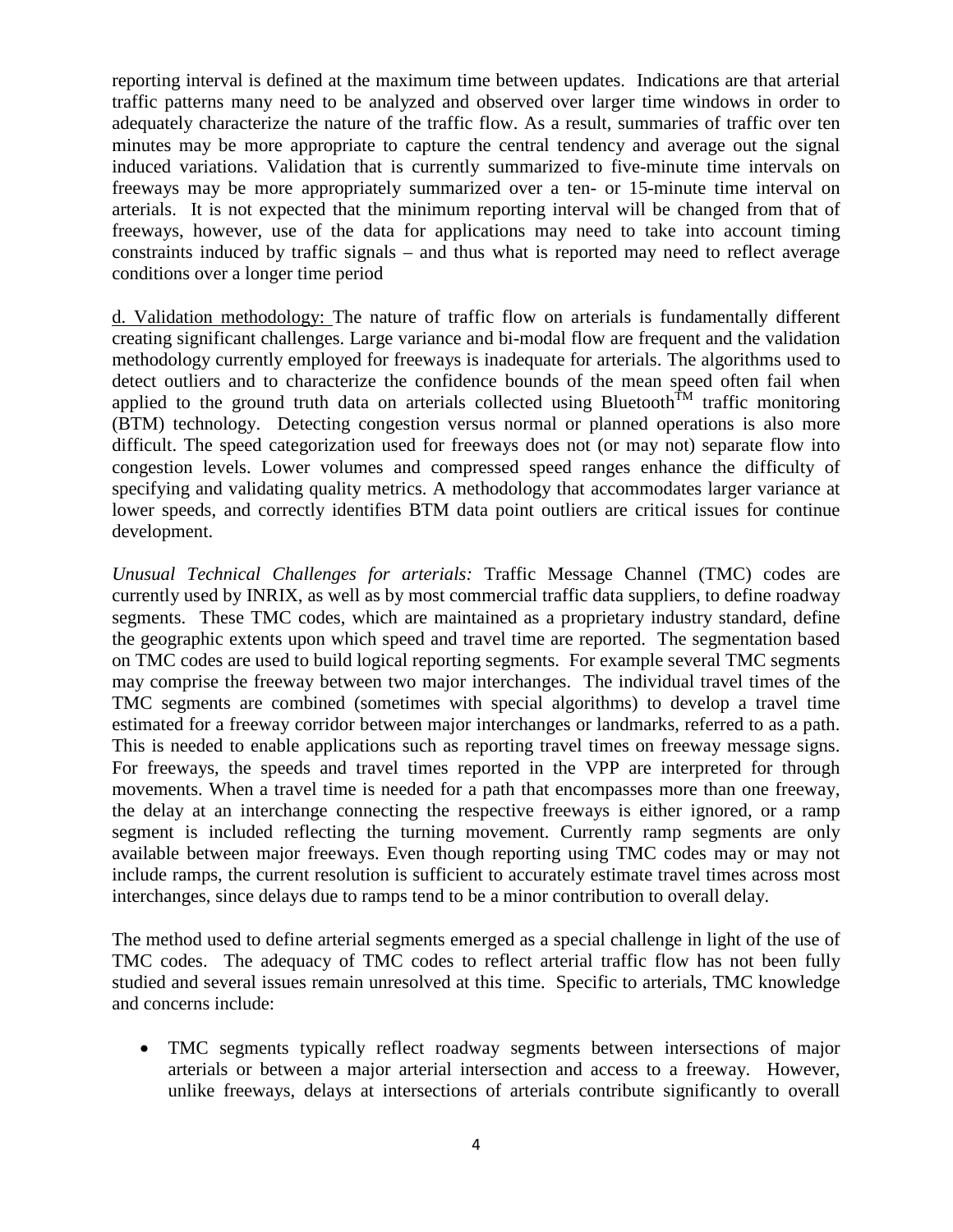reporting interval is defined at the maximum time between updates. Indications are that arterial traffic patterns many need to be analyzed and observed over larger time windows in order to adequately characterize the nature of the traffic flow. As a result, summaries of traffic over ten minutes may be more appropriate to capture the central tendency and average out the signal induced variations. Validation that is currently summarized to five-minute time intervals on freeways may be more appropriately summarized over a ten- or 15-minute time interval on arterials. It is not expected that the minimum reporting interval will be changed from that of freeways, however, use of the data for applications may need to take into account timing constraints induced by traffic signals – and thus what is reported may need to reflect average conditions over a longer time period

d. Validation methodology: The nature of traffic flow on arterials is fundamentally different creating significant challenges. Large variance and bi-modal flow are frequent and the validation methodology currently employed for freeways is inadequate for arterials. The algorithms used to detect outliers and to characterize the confidence bounds of the mean speed often fail when applied to the ground truth data on arterials collected using Bluetooth<sup>TM</sup> traffic monitoring (BTM) technology. Detecting congestion versus normal or planned operations is also more difficult. The speed categorization used for freeways does not (or may not) separate flow into congestion levels. Lower volumes and compressed speed ranges enhance the difficulty of specifying and validating quality metrics. A methodology that accommodates larger variance at lower speeds, and correctly identifies BTM data point outliers are critical issues for continue development.

*Unusual Technical Challenges for arterials:* Traffic Message Channel (TMC) codes are currently used by INRIX, as well as by most commercial traffic data suppliers, to define roadway segments. These TMC codes, which are maintained as a proprietary industry standard, define the geographic extents upon which speed and travel time are reported. The segmentation based on TMC codes are used to build logical reporting segments. For example several TMC segments may comprise the freeway between two major interchanges. The individual travel times of the TMC segments are combined (sometimes with special algorithms) to develop a travel time estimated for a freeway corridor between major interchanges or landmarks, referred to as a path. This is needed to enable applications such as reporting travel times on freeway message signs. For freeways, the speeds and travel times reported in the VPP are interpreted for through movements. When a travel time is needed for a path that encompasses more than one freeway, the delay at an interchange connecting the respective freeways is either ignored, or a ramp segment is included reflecting the turning movement. Currently ramp segments are only available between major freeways. Even though reporting using TMC codes may or may not include ramps, the current resolution is sufficient to accurately estimate travel times across most interchanges, since delays due to ramps tend to be a minor contribution to overall delay.

The method used to define arterial segments emerged as a special challenge in light of the use of TMC codes. The adequacy of TMC codes to reflect arterial traffic flow has not been fully studied and several issues remain unresolved at this time. Specific to arterials, TMC knowledge and concerns include:

• TMC segments typically reflect roadway segments between intersections of major arterials or between a major arterial intersection and access to a freeway. However, unlike freeways, delays at intersections of arterials contribute significantly to overall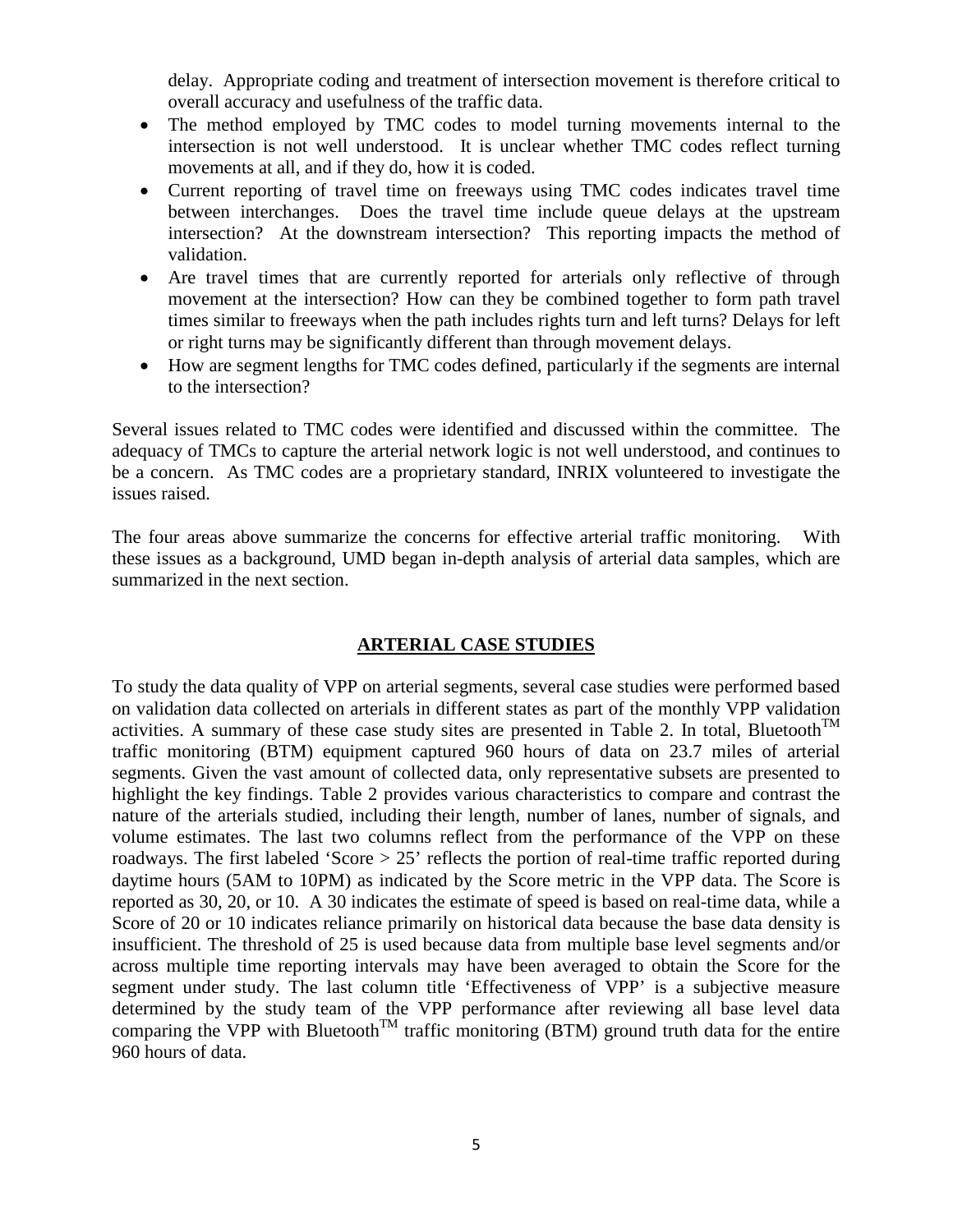delay. Appropriate coding and treatment of intersection movement is therefore critical to overall accuracy and usefulness of the traffic data.

- The method employed by TMC codes to model turning movements internal to the intersection is not well understood. It is unclear whether TMC codes reflect turning movements at all, and if they do, how it is coded.
- Current reporting of travel time on freeways using TMC codes indicates travel time between interchanges. Does the travel time include queue delays at the upstream intersection? At the downstream intersection? This reporting impacts the method of validation.
- Are travel times that are currently reported for arterials only reflective of through movement at the intersection? How can they be combined together to form path travel times similar to freeways when the path includes rights turn and left turns? Delays for left or right turns may be significantly different than through movement delays.
- How are segment lengths for TMC codes defined, particularly if the segments are internal to the intersection?

Several issues related to TMC codes were identified and discussed within the committee. The adequacy of TMCs to capture the arterial network logic is not well understood, and continues to be a concern. As TMC codes are a proprietary standard, INRIX volunteered to investigate the issues raised.

The four areas above summarize the concerns for effective arterial traffic monitoring. With these issues as a background, UMD began in-depth analysis of arterial data samples, which are summarized in the next section.

## **ARTERIAL CASE STUDIES**

To study the data quality of VPP on arterial segments, several case studies were performed based on validation data collected on arterials in different states as part of the monthly VPP validation activities. A summary of these case study sites are presented in Table 2. In total, Bluetooth<sup>TM</sup> traffic monitoring (BTM) equipment captured 960 hours of data on 23.7 miles of arterial segments. Given the vast amount of collected data, only representative subsets are presented to highlight the key findings. Table 2 provides various characteristics to compare and contrast the nature of the arterials studied, including their length, number of lanes, number of signals, and volume estimates. The last two columns reflect from the performance of the VPP on these roadways. The first labeled 'Score > 25' reflects the portion of real-time traffic reported during daytime hours (5AM to 10PM) as indicated by the Score metric in the VPP data. The Score is reported as 30, 20, or 10. A 30 indicates the estimate of speed is based on real-time data, while a Score of 20 or 10 indicates reliance primarily on historical data because the base data density is insufficient. The threshold of 25 is used because data from multiple base level segments and/or across multiple time reporting intervals may have been averaged to obtain the Score for the segment under study. The last column title 'Effectiveness of VPP' is a subjective measure determined by the study team of the VPP performance after reviewing all base level data comparing the VPP with Bluetooth<sup>TM</sup> traffic monitoring (BTM) ground truth data for the entire 960 hours of data.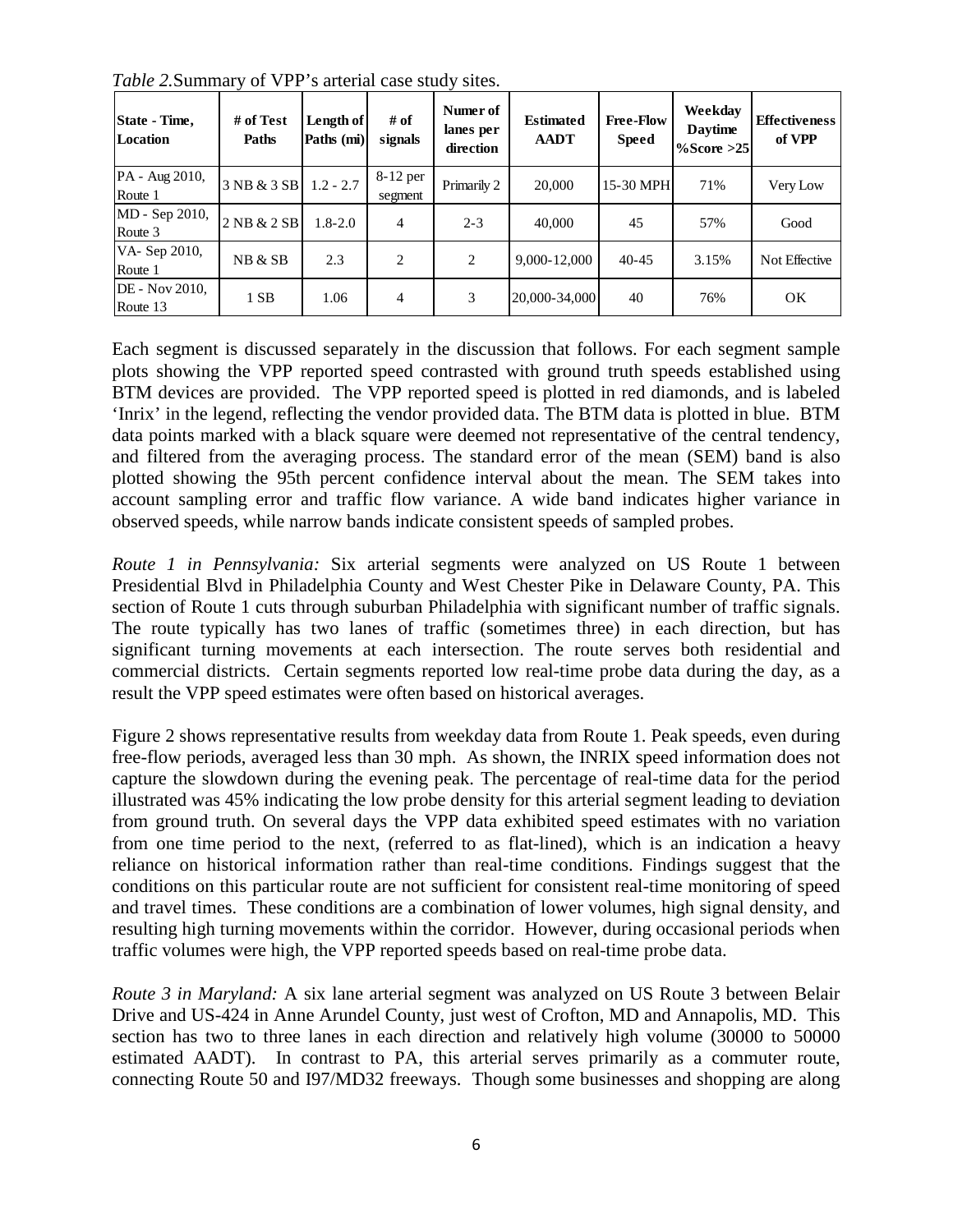| State - Time,<br>Location  | # of Test<br>Paths | Length of<br>Paths (mi) | # of<br>signals     | Numer of<br>lanes per<br>direction | <b>Estimated</b><br><b>AADT</b> | <b>Free-Flow</b><br><b>Speed</b> | Weekday<br><b>Daytime</b><br>$\%$ Score >25 | <b>Effectiveness</b><br>of VPP |
|----------------------------|--------------------|-------------------------|---------------------|------------------------------------|---------------------------------|----------------------------------|---------------------------------------------|--------------------------------|
| PA - Aug 2010,<br>Route 1  | 3 NB & 3 SB        | $1.2 - 2.7$             | 8-12 per<br>segment | Primarily 2                        | 20,000                          | 15-30 MPH                        | 71%                                         | Very Low                       |
| MD - Sep 2010,<br>Route 3  | 2NB & 2SB          | $1.8 - 2.0$             | 4                   | $2 - 3$                            | 40,000                          | 45                               | 57%                                         | Good                           |
| VA-Sep 2010,<br>Route 1    | NB & SB            | 2.3                     | 2                   | 2                                  | 9,000-12,000                    | $40 - 45$                        | 3.15%                                       | Not Effective                  |
| DE - Nov 2010,<br>Route 13 | 1 SB               | 1.06                    | 4                   | 3                                  | 20,000-34,000                   | 40                               | 76%                                         | OK                             |

*Table 2.*Summary of VPP's arterial case study sites.

Each segment is discussed separately in the discussion that follows. For each segment sample plots showing the VPP reported speed contrasted with ground truth speeds established using BTM devices are provided. The VPP reported speed is plotted in red diamonds, and is labeled 'Inrix' in the legend, reflecting the vendor provided data. The BTM data is plotted in blue. BTM data points marked with a black square were deemed not representative of the central tendency, and filtered from the averaging process. The standard error of the mean (SEM) band is also plotted showing the 95th percent confidence interval about the mean. The SEM takes into account sampling error and traffic flow variance. A wide band indicates higher variance in observed speeds, while narrow bands indicate consistent speeds of sampled probes.

*Route 1 in Pennsylvania:* Six arterial segments were analyzed on US Route 1 between Presidential Blvd in Philadelphia County and West Chester Pike in Delaware County, PA. This section of Route 1 cuts through suburban Philadelphia with significant number of traffic signals. The route typically has two lanes of traffic (sometimes three) in each direction, but has significant turning movements at each intersection. The route serves both residential and commercial districts. Certain segments reported low real-time probe data during the day, as a result the VPP speed estimates were often based on historical averages.

[Figure 2](#page-8-0) shows representative results from weekday data from Route 1. Peak speeds, even during free-flow periods, averaged less than 30 mph. As shown, the INRIX speed information does not capture the slowdown during the evening peak. The percentage of real-time data for the period illustrated was 45% indicating the low probe density for this arterial segment leading to deviation from ground truth. On several days the VPP data exhibited speed estimates with no variation from one time period to the next, (referred to as flat-lined), which is an indication a heavy reliance on historical information rather than real-time conditions. Findings suggest that the conditions on this particular route are not sufficient for consistent real-time monitoring of speed and travel times. These conditions are a combination of lower volumes, high signal density, and resulting high turning movements within the corridor. However, during occasional periods when traffic volumes were high, the VPP reported speeds based on real-time probe data.

*Route 3 in Maryland:* A six lane arterial segment was analyzed on US Route 3 between Belair Drive and US-424 in Anne Arundel County, just west of Crofton, MD and Annapolis, MD. This section has two to three lanes in each direction and relatively high volume (30000 to 50000 estimated AADT). In contrast to PA, this arterial serves primarily as a commuter route, connecting Route 50 and I97/MD32 freeways. Though some businesses and shopping are along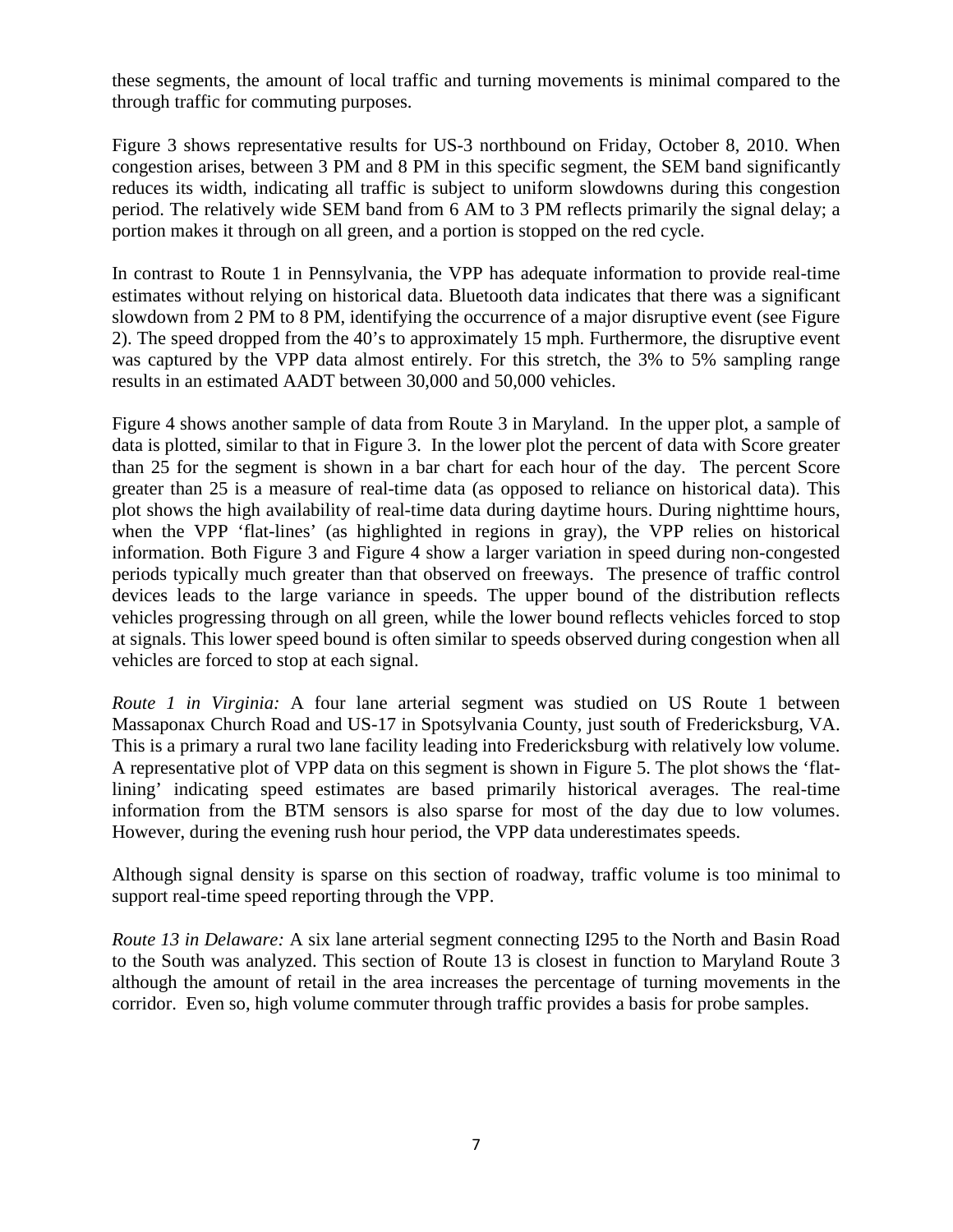these segments, the amount of local traffic and turning movements is minimal compared to the through traffic for commuting purposes.

[Figure 3](#page-8-1) shows representative results for US-3 northbound on Friday, October 8, 2010. When congestion arises, between 3 PM and 8 PM in this specific segment, the SEM band significantly reduces its width, indicating all traffic is subject to uniform slowdowns during this congestion period. The relatively wide SEM band from 6 AM to 3 PM reflects primarily the signal delay; a portion makes it through on all green, and a portion is stopped on the red cycle.

In contrast to Route 1 in Pennsylvania, the VPP has adequate information to provide real-time estimates without relying on historical data. Bluetooth data indicates that there was a significant slowdown from 2 PM to 8 PM, identifying the occurrence of a major disruptive event (see Figure 2). The speed dropped from the 40's to approximately 15 mph. Furthermore, the disruptive event was captured by the VPP data almost entirely. For this stretch, the 3% to 5% sampling range results in an estimated AADT between 30,000 and 50,000 vehicles.

Figure 4 shows another sample of data from Route 3 in Maryland. In the upper plot, a sample of data is plotted, similar to that in Figure 3. In the lower plot the percent of data with Score greater than 25 for the segment is shown in a bar chart for each hour of the day. The percent Score greater than 25 is a measure of real-time data (as opposed to reliance on historical data). This plot shows the high availability of real-time data during daytime hours. During nighttime hours, when the VPP 'flat-lines' (as highlighted in regions in gray), the VPP relies on historical information. Both [Figure 3](#page-8-1) and [Figure 4](#page-9-0) show a larger variation in speed during non-congested periods typically much greater than that observed on freeways. The presence of traffic control devices leads to the large variance in speeds. The upper bound of the distribution reflects vehicles progressing through on all green, while the lower bound reflects vehicles forced to stop at signals. This lower speed bound is often similar to speeds observed during congestion when all vehicles are forced to stop at each signal.

*Route 1 in Virginia:* A four lane arterial segment was studied on US Route 1 between Massaponax Church Road and US-17 in Spotsylvania County, just south of Fredericksburg, VA. This is a primary a rural two lane facility leading into Fredericksburg with relatively low volume. A representative plot of VPP data on this segment is shown in [Figure 5.](#page-11-0) The plot shows the 'flatlining' indicating speed estimates are based primarily historical averages. The real-time information from the BTM sensors is also sparse for most of the day due to low volumes. However, during the evening rush hour period, the VPP data underestimates speeds.

Although signal density is sparse on this section of roadway, traffic volume is too minimal to support real-time speed reporting through the VPP.

*Route 13 in Delaware:* A six lane arterial segment connecting I295 to the North and Basin Road to the South was analyzed. This section of Route 13 is closest in function to Maryland Route 3 although the amount of retail in the area increases the percentage of turning movements in the corridor. Even so, high volume commuter through traffic provides a basis for probe samples.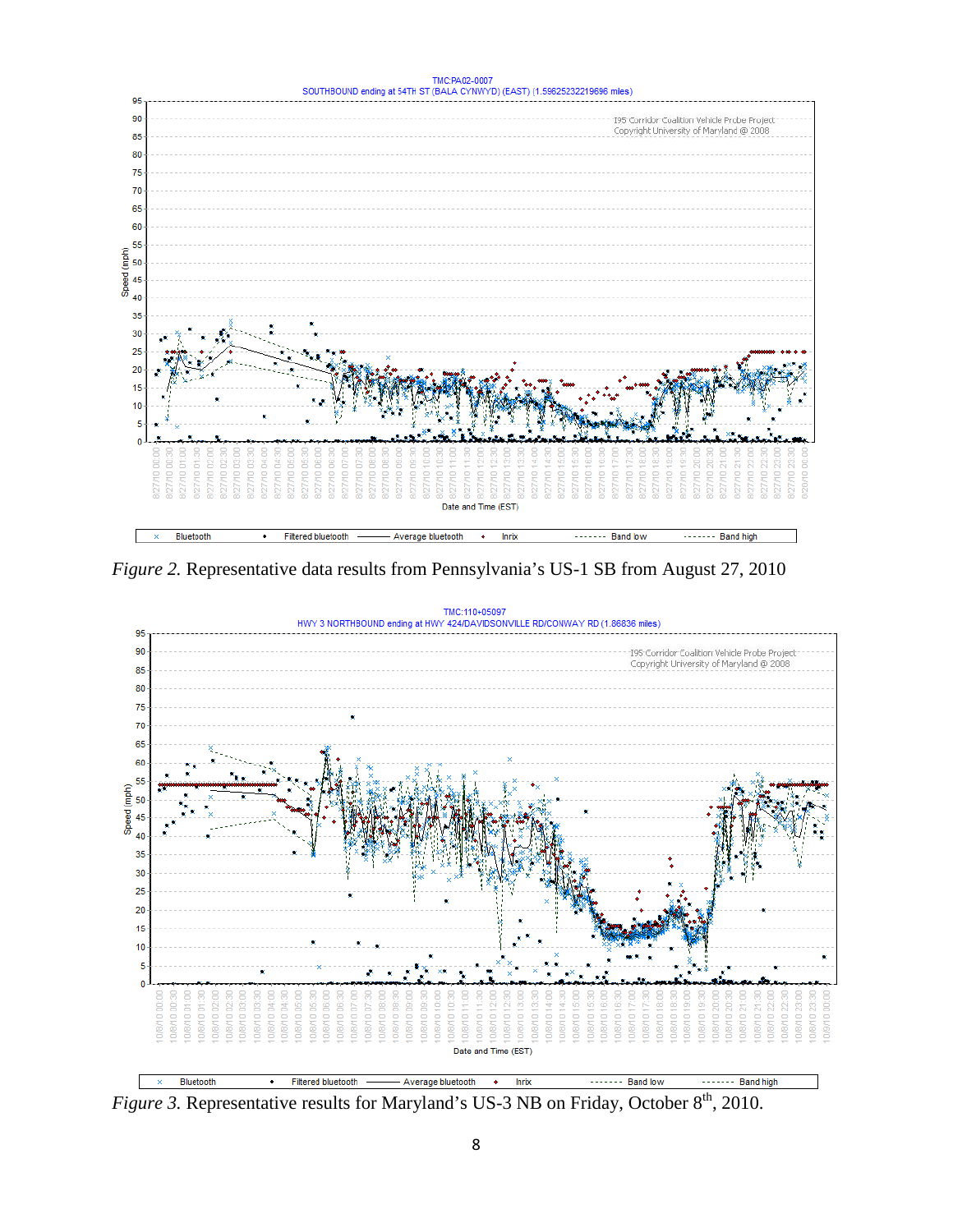

<span id="page-8-0"></span>*Figure 2.* Representative data results from Pennsylvania's US-1 SB from August 27, 2010



<span id="page-8-1"></span>*Figure 3.* Representative results for Maryland's US-3 NB on Friday, October 8<sup>th</sup>, 2010.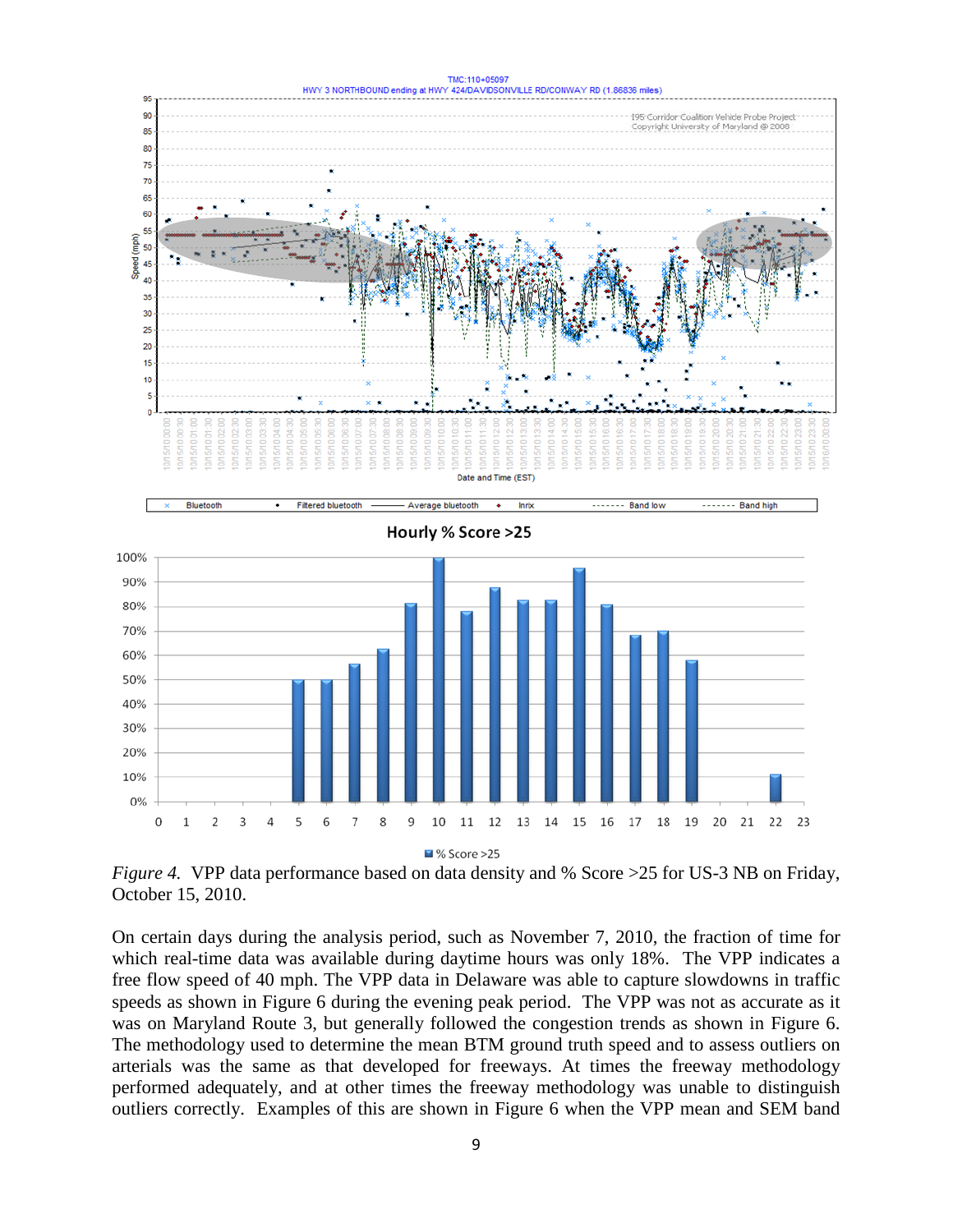

<span id="page-9-0"></span>*Figure 4.* VPP data performance based on data density and % Score > 25 for US-3 NB on Friday, October 15, 2010.

On certain days during the analysis period, such as November 7, 2010, the fraction of time for which real-time data was available during daytime hours was only 18%. The VPP indicates a free flow speed of 40 mph. The VPP data in Delaware was able to capture slowdowns in traffic speeds as shown in [Figure 6](#page-11-1) during the evening peak period. The VPP was not as accurate as it was on Maryland Route 3, but generally followed the congestion trends as shown in Figure 6. The methodology used to determine the mean BTM ground truth speed and to assess outliers on arterials was the same as that developed for freeways. At times the freeway methodology performed adequately, and at other times the freeway methodology was unable to distinguish outliers correctly. Examples of this are shown in Figure 6 when the VPP mean and SEM band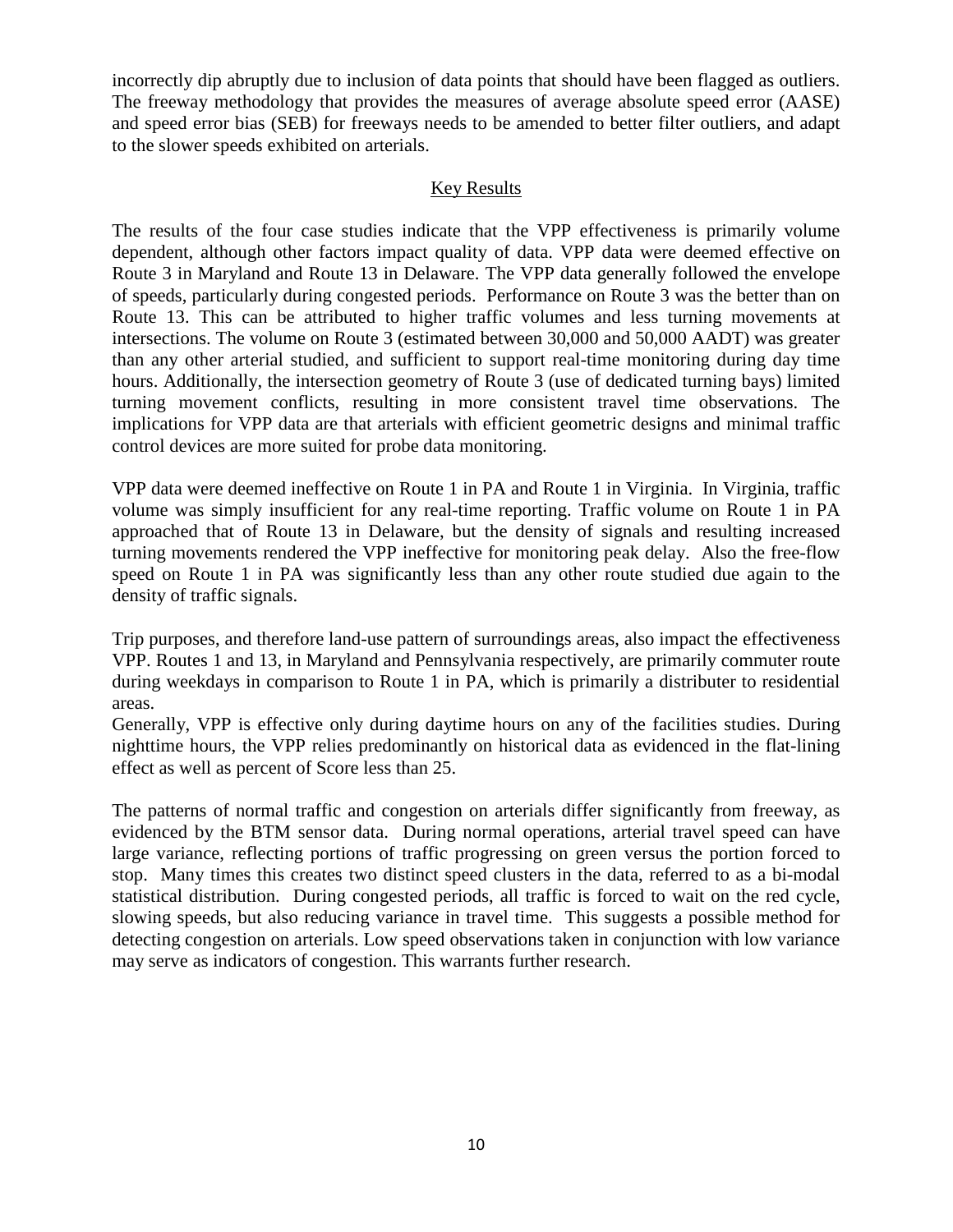incorrectly dip abruptly due to inclusion of data points that should have been flagged as outliers. The freeway methodology that provides the measures of average absolute speed error (AASE) and speed error bias (SEB) for freeways needs to be amended to better filter outliers, and adapt to the slower speeds exhibited on arterials.

# Key Results

The results of the four case studies indicate that the VPP effectiveness is primarily volume dependent, although other factors impact quality of data. VPP data were deemed effective on Route 3 in Maryland and Route 13 in Delaware. The VPP data generally followed the envelope of speeds, particularly during congested periods. Performance on Route 3 was the better than on Route 13. This can be attributed to higher traffic volumes and less turning movements at intersections. The volume on Route 3 (estimated between 30,000 and 50,000 AADT) was greater than any other arterial studied, and sufficient to support real-time monitoring during day time hours. Additionally, the intersection geometry of Route 3 (use of dedicated turning bays) limited turning movement conflicts, resulting in more consistent travel time observations. The implications for VPP data are that arterials with efficient geometric designs and minimal traffic control devices are more suited for probe data monitoring.

VPP data were deemed ineffective on Route 1 in PA and Route 1 in Virginia. In Virginia, traffic volume was simply insufficient for any real-time reporting. Traffic volume on Route 1 in PA approached that of Route 13 in Delaware, but the density of signals and resulting increased turning movements rendered the VPP ineffective for monitoring peak delay. Also the free-flow speed on Route 1 in PA was significantly less than any other route studied due again to the density of traffic signals.

Trip purposes, and therefore land-use pattern of surroundings areas, also impact the effectiveness VPP. Routes 1 and 13, in Maryland and Pennsylvania respectively, are primarily commuter route during weekdays in comparison to Route 1 in PA, which is primarily a distributer to residential areas.

Generally, VPP is effective only during daytime hours on any of the facilities studies. During nighttime hours, the VPP relies predominantly on historical data as evidenced in the flat-lining effect as well as percent of Score less than 25.

The patterns of normal traffic and congestion on arterials differ significantly from freeway, as evidenced by the BTM sensor data. During normal operations, arterial travel speed can have large variance, reflecting portions of traffic progressing on green versus the portion forced to stop. Many times this creates two distinct speed clusters in the data, referred to as a bi-modal statistical distribution. During congested periods, all traffic is forced to wait on the red cycle, slowing speeds, but also reducing variance in travel time. This suggests a possible method for detecting congestion on arterials. Low speed observations taken in conjunction with low variance may serve as indicators of congestion. This warrants further research.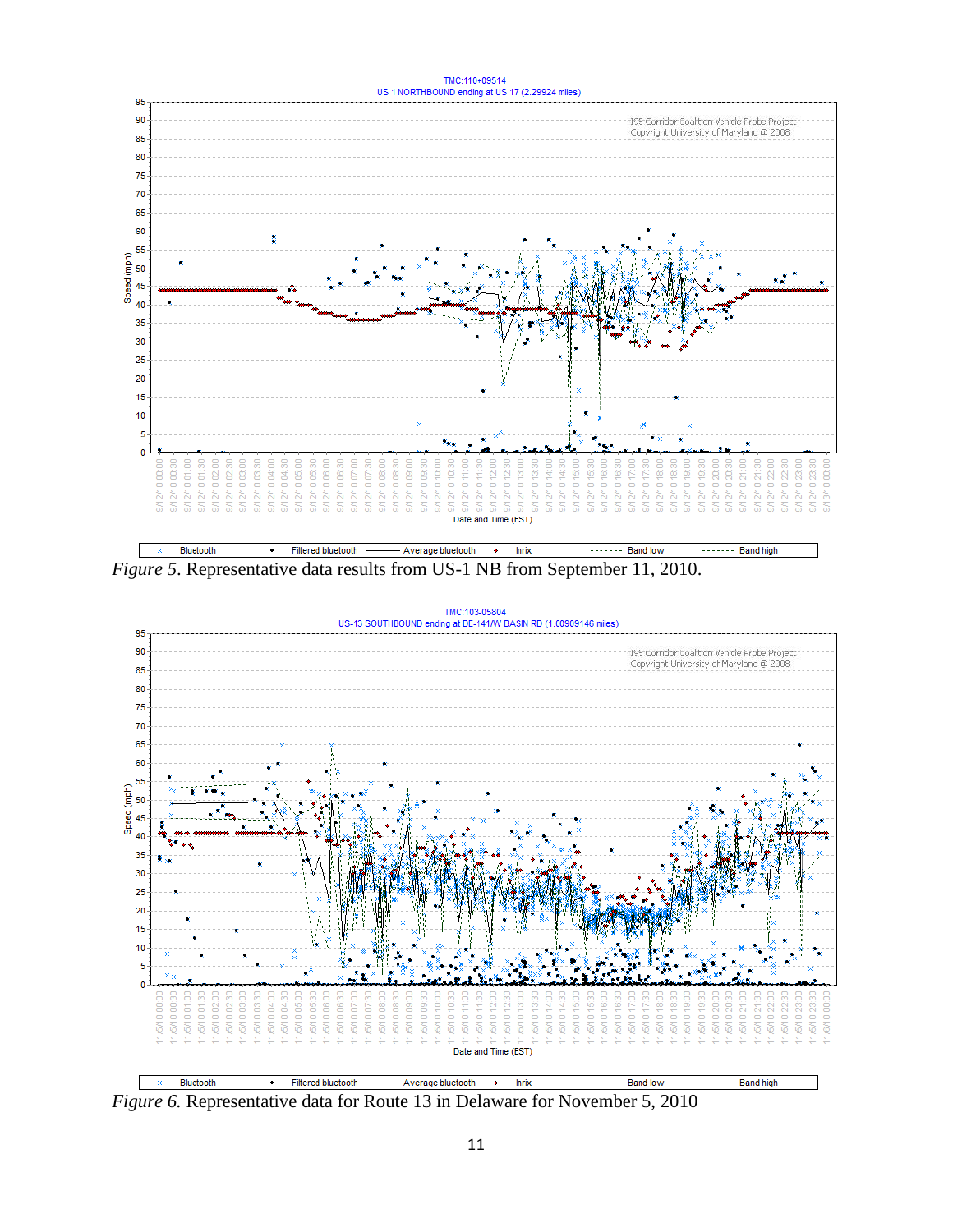

<span id="page-11-0"></span>*Figure 5*. Representative data results from US-1 NB from September 11, 2010.



<span id="page-11-1"></span>*Figure 6.* Representative data for Route 13 in Delaware for November 5, 2010